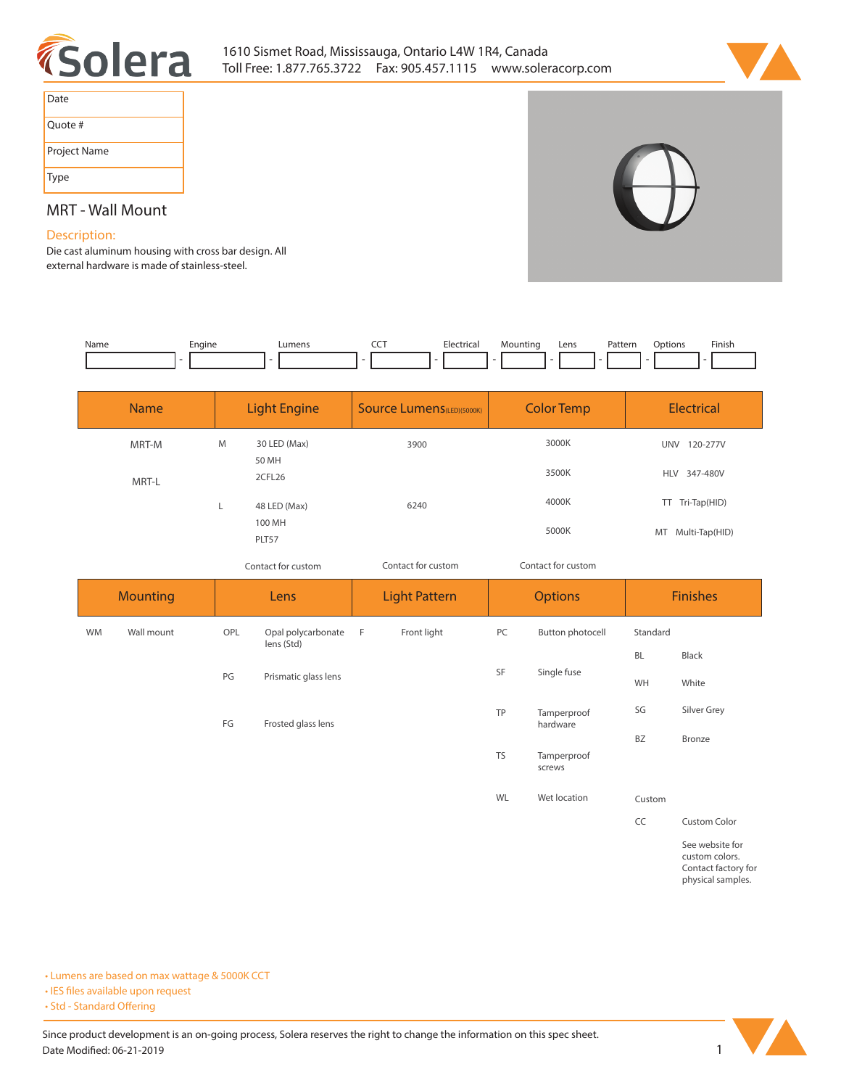



| Date         |
|--------------|
| Quote #      |
| Project Name |
| Type         |

# **MRT - Wall Mount**

## **Description:**

**Die cast aluminum housing with cross bar design. All external hardware is made of stainless-steel.** 

| Name | Engine | umens. | --- | <b>Electrica</b> | Mounting | Lens | Pattern | Dotions | Finish |
|------|--------|--------|-----|------------------|----------|------|---------|---------|--------|
|      |        |        |     |                  | . .      |      |         |         |        |

| <b>Name</b> | <b>Light Engine</b>             | <b>Source Lumens</b> (LED)(5000K) | <b>Color Temp</b> | Electrical                           |  |
|-------------|---------------------------------|-----------------------------------|-------------------|--------------------------------------|--|
| MRT-M       | M<br>30 LED (Max)<br>50 MH      | 3900                              | 3000K             | 120-277V<br><b>UNV</b>               |  |
| MRT-L       | 2CFL26                          |                                   | 3500K             | HLV 347-480V                         |  |
|             | 48 LED (Max)<br>100 MH<br>PLT57 | 6240                              | 4000K<br>5000K    | TT Tri-Tap(HID)<br>MT Multi-Tap(HID) |  |

*Contact for custom*

*Contact for custom Contact for custom*

| <b>Mounting</b> |            | Lens |                                  | <b>Light Pattern</b> |             | <b>Options</b> |                         | <b>Finishes</b> |                                                                                                                                    |
|-----------------|------------|------|----------------------------------|----------------------|-------------|----------------|-------------------------|-----------------|------------------------------------------------------------------------------------------------------------------------------------|
| <b>WM</b>       | Wall mount | OPL  | Opal polycarbonate<br>lens (Std) | $-F$                 | Front light | PC             | Button photocell        | Standard        |                                                                                                                                    |
|                 |            |      |                                  |                      |             |                | Single fuse             | <b>BL</b>       | Black                                                                                                                              |
|                 |            | PG   | Prismatic glass lens             |                      |             | SF             |                         | WH              | White                                                                                                                              |
|                 |            | FG   | Frosted glass lens               |                      |             | TP             | Tamperproof<br>hardware | SG              | Silver Grey                                                                                                                        |
|                 |            |      |                                  |                      |             |                |                         | BZ              | Bronze                                                                                                                             |
|                 |            |      |                                  |                      |             | <b>TS</b>      | Tamperproof<br>screws   |                 |                                                                                                                                    |
|                 |            |      |                                  |                      |             | WL             | Wet location            | Custom          |                                                                                                                                    |
|                 |            |      |                                  |                      |             |                |                         | CC              | Custom Color                                                                                                                       |
|                 |            |      |                                  |                      |             |                |                         |                 | See website for<br>the contract of the contract of the contract of the contract of the contract of the contract of the contract of |

**custom colors. Contact factory for physical samples.** 

**• Lumens are based on max wattage & 5000K CCT**

**• IES files available upon request** 

• Std - Standard Offering

Since product development is an on-going process, Solera reserves the right to change the information on this spec sheet. **Date Modified: 06-21-2019** 1